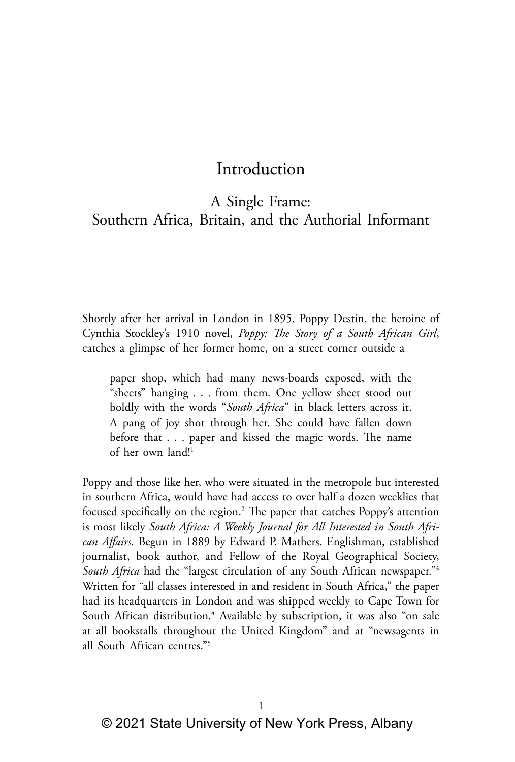# Introduction

## A Single Frame: Southern Africa, Britain, and the Authorial Informant

Shortly after her arrival in London in 1895, Poppy Destin, the heroine of Cynthia Stockley's 1910 novel, *Poppy: The Story of a South African Girl*, catches a glimpse of her former home, on a street corner outside a

paper shop, which had many news-boards exposed, with the "sheets" hanging . . . from them. One yellow sheet stood out boldly with the words "*South Africa*" in black letters across it. A pang of joy shot through her. She could have fallen down before that . . . paper and kissed the magic words. The name of her own land!<sup>1</sup>

Poppy and those like her, who were situated in the metropole but interested in southern Africa, would have had access to over half a dozen weeklies that focused specifically on the region.2 The paper that catches Poppy's attention is most likely *South Africa: A Weekly Journal for All Interested in South African Affairs*. Begun in 1889 by Edward P. Mathers, Englishman, established journalist, book author, and Fellow of the Royal Geographical Society, *South Africa* had the "largest circulation of any South African newspaper."3 Written for "all classes interested in and resident in South Africa," the paper had its headquarters in London and was shipped weekly to Cape Town for South African distribution.<sup>4</sup> Available by subscription, it was also "on sale at all bookstalls throughout the United Kingdom" and at "newsagents in all South African centres."5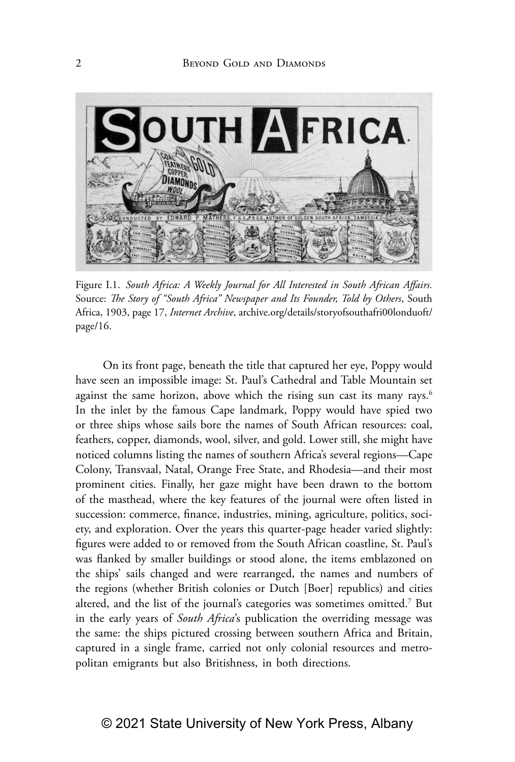

Figure I.1. *South Africa: A Weekly Journal for All Interested in South African Affairs.*  Source: *The Story of "South Africa" Newspaper and Its Founder, Told by Others*, South Africa, 1903, page 17, *Internet Archive*, archive.org/details/storyofsouthafri00londuoft/ page/16.

On its front page, beneath the title that captured her eye, Poppy would have seen an impossible image: St. Paul's Cathedral and Table Mountain set against the same horizon, above which the rising sun cast its many rays.<sup>6</sup> In the inlet by the famous Cape landmark, Poppy would have spied two or three ships whose sails bore the names of South African resources: coal, feathers, copper, diamonds, wool, silver, and gold. Lower still, she might have noticed columns listing the names of southern Africa's several regions—Cape Colony, Transvaal, Natal, Orange Free State, and Rhodesia—and their most prominent cities. Finally, her gaze might have been drawn to the bottom of the masthead, where the key features of the journal were often listed in succession: commerce, finance, industries, mining, agriculture, politics, society, and exploration. Over the years this quarter-page header varied slightly: figures were added to or removed from the South African coastline, St. Paul's was flanked by smaller buildings or stood alone, the items emblazoned on the ships' sails changed and were rearranged, the names and numbers of the regions (whether British colonies or Dutch [Boer] republics) and cities altered, and the list of the journal's categories was sometimes omitted.<sup>7</sup> But in the early years of *South Africa*'s publication the overriding message was the same: the ships pictured crossing between southern Africa and Britain, captured in a single frame, carried not only colonial resources and metropolitan emigrants but also Britishness, in both directions.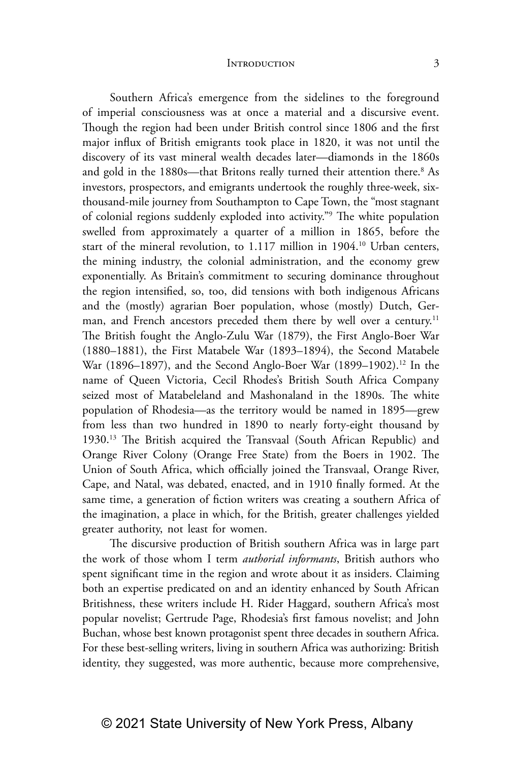Southern Africa's emergence from the sidelines to the foreground of imperial consciousness was at once a material and a discursive event. Though the region had been under British control since 1806 and the first major influx of British emigrants took place in 1820, it was not until the discovery of its vast mineral wealth decades later—diamonds in the 1860s and gold in the 1880s—that Britons really turned their attention there.<sup>8</sup> As investors, prospectors, and emigrants undertook the roughly three-week, sixthousand-mile journey from Southampton to Cape Town, the "most stagnant of colonial regions suddenly exploded into activity."9 The white population swelled from approximately a quarter of a million in 1865, before the start of the mineral revolution, to 1.117 million in 1904.<sup>10</sup> Urban centers, the mining industry, the colonial administration, and the economy grew exponentially. As Britain's commitment to securing dominance throughout the region intensified, so, too, did tensions with both indigenous Africans and the (mostly) agrarian Boer population, whose (mostly) Dutch, German, and French ancestors preceded them there by well over a century.<sup>11</sup> The British fought the Anglo-Zulu War (1879), the First Anglo-Boer War (1880–1881), the First Matabele War (1893–1894), the Second Matabele War (1896-1897), and the Second Anglo-Boer War (1899-1902).<sup>12</sup> In the name of Queen Victoria, Cecil Rhodes's British South Africa Company seized most of Matabeleland and Mashonaland in the 1890s. The white population of Rhodesia—as the territory would be named in 1895—grew from less than two hundred in 1890 to nearly forty-eight thousand by 1930.13 The British acquired the Transvaal (South African Republic) and Orange River Colony (Orange Free State) from the Boers in 1902. The Union of South Africa, which officially joined the Transvaal, Orange River, Cape, and Natal, was debated, enacted, and in 1910 finally formed. At the same time, a generation of fiction writers was creating a southern Africa of the imagination, a place in which, for the British, greater challenges yielded greater authority, not least for women.

The discursive production of British southern Africa was in large part the work of those whom I term *authorial informants*, British authors who spent significant time in the region and wrote about it as insiders. Claiming both an expertise predicated on and an identity enhanced by South African Britishness, these writers include H. Rider Haggard, southern Africa's most popular novelist; Gertrude Page, Rhodesia's first famous novelist; and John Buchan, whose best known protagonist spent three decades in southern Africa. For these best-selling writers, living in southern Africa was authorizing: British identity, they suggested, was more authentic, because more comprehensive,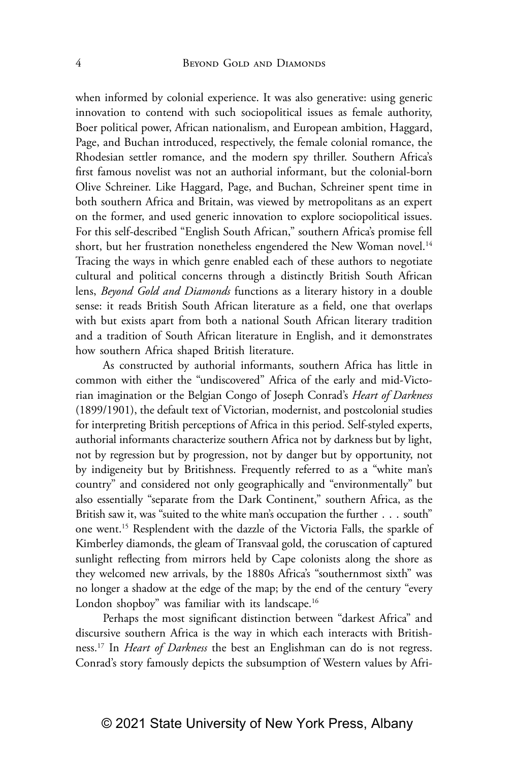when informed by colonial experience. It was also generative: using generic innovation to contend with such sociopolitical issues as female authority, Boer political power, African nationalism, and European ambition, Haggard, Page, and Buchan introduced, respectively, the female colonial romance, the Rhodesian settler romance, and the modern spy thriller. Southern Africa's first famous novelist was not an authorial informant, but the colonial-born Olive Schreiner. Like Haggard, Page, and Buchan, Schreiner spent time in both southern Africa and Britain, was viewed by metropolitans as an expert on the former, and used generic innovation to explore sociopolitical issues. For this self-described "English South African," southern Africa's promise fell short, but her frustration nonetheless engendered the New Woman novel.<sup>14</sup> Tracing the ways in which genre enabled each of these authors to negotiate cultural and political concerns through a distinctly British South African lens, *Beyond Gold and Diamonds* functions as a literary history in a double sense: it reads British South African literature as a field, one that overlaps with but exists apart from both a national South African literary tradition and a tradition of South African literature in English, and it demonstrates how southern Africa shaped British literature.

As constructed by authorial informants, southern Africa has little in common with either the "undiscovered" Africa of the early and mid-Victorian imagination or the Belgian Congo of Joseph Conrad's *Heart of Darkness* (1899/1901), the default text of Victorian, modernist, and postcolonial studies for interpreting British perceptions of Africa in this period. Self-styled experts, authorial informants characterize southern Africa not by darkness but by light, not by regression but by progression, not by danger but by opportunity, not by indigeneity but by Britishness. Frequently referred to as a "white man's country" and considered not only geographically and "environmentally" but also essentially "separate from the Dark Continent," southern Africa, as the British saw it, was "suited to the white man's occupation the further . . . south" one went.15 Resplendent with the dazzle of the Victoria Falls, the sparkle of Kimberley diamonds, the gleam of Transvaal gold, the coruscation of captured sunlight reflecting from mirrors held by Cape colonists along the shore as they welcomed new arrivals, by the 1880s Africa's "southernmost sixth" was no longer a shadow at the edge of the map; by the end of the century "every London shopboy" was familiar with its landscape.<sup>16</sup>

Perhaps the most significant distinction between "darkest Africa" and discursive southern Africa is the way in which each interacts with Britishness.17 In *Heart of Darkness* the best an Englishman can do is not regress. Conrad's story famously depicts the subsumption of Western values by Afri-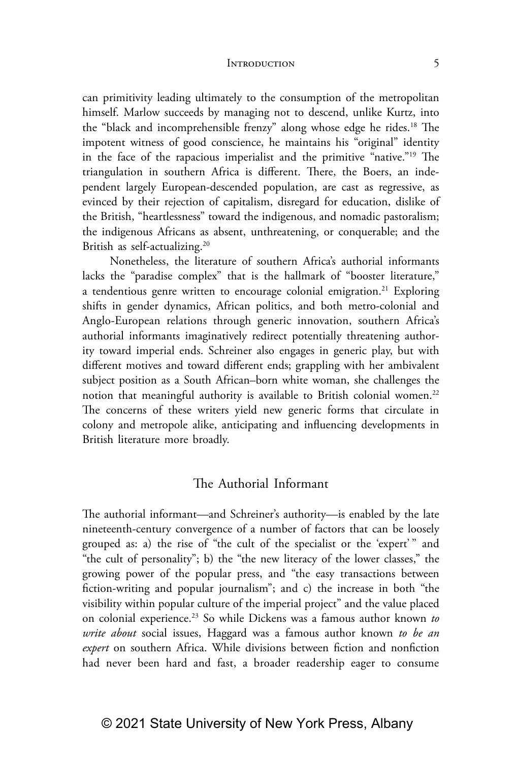can primitivity leading ultimately to the consumption of the metropolitan himself. Marlow succeeds by managing not to descend, unlike Kurtz, into the "black and incomprehensible frenzy" along whose edge he rides.<sup>18</sup> The impotent witness of good conscience, he maintains his "original" identity in the face of the rapacious imperialist and the primitive "native."19 The triangulation in southern Africa is different. There, the Boers, an independent largely European-descended population, are cast as regressive, as evinced by their rejection of capitalism, disregard for education, dislike of the British, "heartlessness" toward the indigenous, and nomadic pastoralism; the indigenous Africans as absent, unthreatening, or conquerable; and the British as self-actualizing.20

Nonetheless, the literature of southern Africa's authorial informants lacks the "paradise complex" that is the hallmark of "booster literature," a tendentious genre written to encourage colonial emigration.<sup>21</sup> Exploring shifts in gender dynamics, African politics, and both metro-colonial and Anglo-European relations through generic innovation, southern Africa's authorial informants imaginatively redirect potentially threatening authority toward imperial ends. Schreiner also engages in generic play, but with different motives and toward different ends; grappling with her ambivalent subject position as a South African–born white woman, she challenges the notion that meaningful authority is available to British colonial women.<sup>22</sup> The concerns of these writers yield new generic forms that circulate in colony and metropole alike, anticipating and influencing developments in British literature more broadly.

### The Authorial Informant

The authorial informant—and Schreiner's authority—is enabled by the late nineteenth-century convergence of a number of factors that can be loosely grouped as: a) the rise of "the cult of the specialist or the 'expert' " and "the cult of personality"; b) the "the new literacy of the lower classes," the growing power of the popular press, and "the easy transactions between fiction-writing and popular journalism"; and c) the increase in both "the visibility within popular culture of the imperial project" and the value placed on colonial experience.23 So while Dickens was a famous author known *to write about* social issues, Haggard was a famous author known *to be an expert* on southern Africa. While divisions between fiction and nonfiction had never been hard and fast, a broader readership eager to consume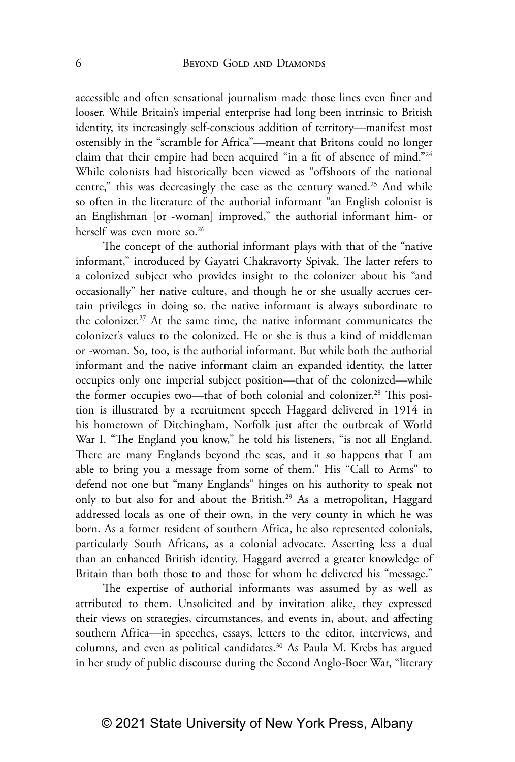accessible and often sensational journalism made those lines even finer and looser. While Britain's imperial enterprise had long been intrinsic to British identity, its increasingly self-conscious addition of territory—manifest most ostensibly in the "scramble for Africa"—meant that Britons could no longer claim that their empire had been acquired "in a fit of absence of mind."24 While colonists had historically been viewed as "offshoots of the national centre," this was decreasingly the case as the century waned.<sup>25</sup> And while so often in the literature of the authorial informant "an English colonist is an Englishman [or -woman] improved," the authorial informant him- or herself was even more so.<sup>26</sup>

The concept of the authorial informant plays with that of the "native informant," introduced by Gayatri Chakravorty Spivak. The latter refers to a colonized subject who provides insight to the colonizer about his "and occasionally" her native culture, and though he or she usually accrues certain privileges in doing so, the native informant is always subordinate to the colonizer.<sup>27</sup> At the same time, the native informant communicates the colonizer's values to the colonized. He or she is thus a kind of middleman or -woman. So, too, is the authorial informant. But while both the authorial informant and the native informant claim an expanded identity, the latter occupies only one imperial subject position—that of the colonized—while the former occupies two—that of both colonial and colonizer.<sup>28</sup> This position is illustrated by a recruitment speech Haggard delivered in 1914 in his hometown of Ditchingham, Norfolk just after the outbreak of World War I. "The England you know," he told his listeners, "is not all England. There are many Englands beyond the seas, and it so happens that I am able to bring you a message from some of them." His "Call to Arms" to defend not one but "many Englands" hinges on his authority to speak not only to but also for and about the British.<sup>29</sup> As a metropolitan, Haggard addressed locals as one of their own, in the very county in which he was born. As a former resident of southern Africa, he also represented colonials, particularly South Africans, as a colonial advocate. Asserting less a dual than an enhanced British identity, Haggard averred a greater knowledge of Britain than both those to and those for whom he delivered his "message."

The expertise of authorial informants was assumed by as well as attributed to them. Unsolicited and by invitation alike, they expressed their views on strategies, circumstances, and events in, about, and affecting southern Africa—in speeches, essays, letters to the editor, interviews, and columns, and even as political candidates.<sup>30</sup> As Paula M. Krebs has argued in her study of public discourse during the Second Anglo-Boer War, "literary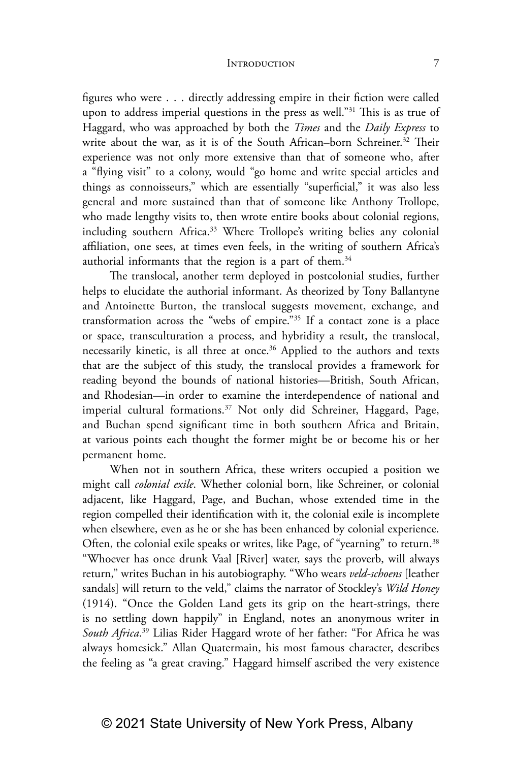figures who were . . . directly addressing empire in their fiction were called upon to address imperial questions in the press as well."31 This is as true of Haggard, who was approached by both the *Times* and the *Daily Express* to write about the war, as it is of the South African–born Schreiner.<sup>32</sup> Their experience was not only more extensive than that of someone who, after a "flying visit" to a colony, would "go home and write special articles and things as connoisseurs," which are essentially "superficial," it was also less general and more sustained than that of someone like Anthony Trollope, who made lengthy visits to, then wrote entire books about colonial regions, including southern Africa.<sup>33</sup> Where Trollope's writing belies any colonial affiliation, one sees, at times even feels, in the writing of southern Africa's authorial informants that the region is a part of them. $34$ 

The translocal, another term deployed in postcolonial studies, further helps to elucidate the authorial informant. As theorized by Tony Ballantyne and Antoinette Burton, the translocal suggests movement, exchange, and transformation across the "webs of empire."35 If a contact zone is a place or space, transculturation a process, and hybridity a result, the translocal, necessarily kinetic, is all three at once.<sup>36</sup> Applied to the authors and texts that are the subject of this study, the translocal provides a framework for reading beyond the bounds of national histories—British, South African, and Rhodesian—in order to examine the interdependence of national and imperial cultural formations.<sup>37</sup> Not only did Schreiner, Haggard, Page, and Buchan spend significant time in both southern Africa and Britain, at various points each thought the former might be or become his or her permanent home.

When not in southern Africa, these writers occupied a position we might call *colonial exile*. Whether colonial born, like Schreiner, or colonial adjacent, like Haggard, Page, and Buchan, whose extended time in the region compelled their identification with it, the colonial exile is incomplete when elsewhere, even as he or she has been enhanced by colonial experience. Often, the colonial exile speaks or writes, like Page, of "yearning" to return.<sup>38</sup> "Whoever has once drunk Vaal [River] water, says the proverb, will always return," writes Buchan in his autobiography. "Who wears *veld-schoens* [leather sandals] will return to the veld," claims the narrator of Stockley's *Wild Honey* (1914). "Once the Golden Land gets its grip on the heart-strings, there is no settling down happily" in England, notes an anonymous writer in *South Africa*. 39 Lilias Rider Haggard wrote of her father: "For Africa he was always homesick." Allan Quatermain, his most famous character, describes the feeling as "a great craving." Haggard himself ascribed the very existence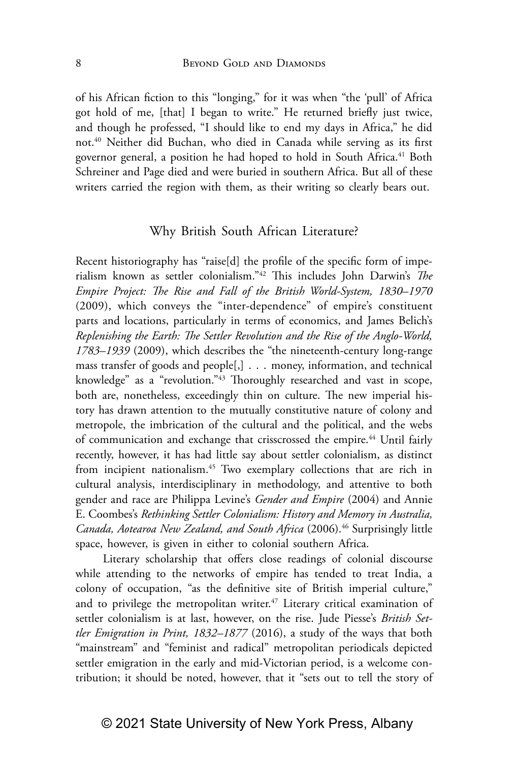of his African fiction to this "longing," for it was when "the 'pull' of Africa got hold of me, [that] I began to write." He returned briefly just twice, and though he professed, "I should like to end my days in Africa," he did not.40 Neither did Buchan, who died in Canada while serving as its first governor general, a position he had hoped to hold in South Africa.<sup>41</sup> Both Schreiner and Page died and were buried in southern Africa. But all of these writers carried the region with them, as their writing so clearly bears out.

### Why British South African Literature?

Recent historiography has "raise[d] the profile of the specific form of imperialism known as settler colonialism."42 This includes John Darwin's *The Empire Project: The Rise and Fall of the British World-System, 1830–1970* (2009), which conveys the "inter-dependence" of empire's constituent parts and locations, particularly in terms of economics, and James Belich's *Replenishing the Earth: The Settler Revolution and the Rise of the Anglo-World, 1783–1939* (2009), which describes the "the nineteenth-century long-range mass transfer of goods and people[,] . . . money, information, and technical knowledge" as a "revolution."43 Thoroughly researched and vast in scope, both are, nonetheless, exceedingly thin on culture. The new imperial history has drawn attention to the mutually constitutive nature of colony and metropole, the imbrication of the cultural and the political, and the webs of communication and exchange that crisscrossed the empire.<sup>44</sup> Until fairly recently, however, it has had little say about settler colonialism, as distinct from incipient nationalism.<sup>45</sup> Two exemplary collections that are rich in cultural analysis, interdisciplinary in methodology, and attentive to both gender and race are Philippa Levine's *Gender and Empire* (2004) and Annie E. Coombes's *Rethinking Settler Colonialism: History and Memory in Australia, Canada, Aotearoa New Zealand, and South Africa* (2006).46 Surprisingly little space, however, is given in either to colonial southern Africa.

Literary scholarship that offers close readings of colonial discourse while attending to the networks of empire has tended to treat India, a colony of occupation, "as the definitive site of British imperial culture," and to privilege the metropolitan writer. $47$  Literary critical examination of settler colonialism is at last, however, on the rise. Jude Piesse's *British Settler Emigration in Print, 1832–1877* (2016), a study of the ways that both "mainstream" and "feminist and radical" metropolitan periodicals depicted settler emigration in the early and mid-Victorian period, is a welcome contribution; it should be noted, however, that it "sets out to tell the story of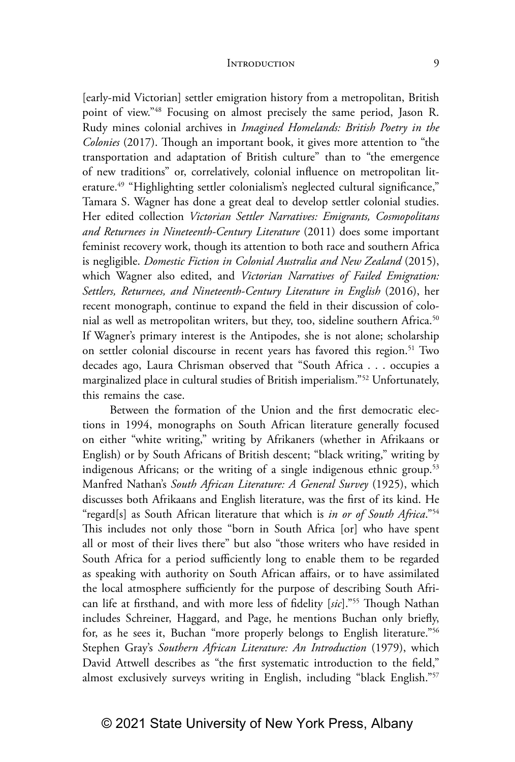[early-mid Victorian] settler emigration history from a metropolitan, British point of view."48 Focusing on almost precisely the same period, Jason R. Rudy mines colonial archives in *Imagined Homelands: British Poetry in the Colonies* (2017). Though an important book, it gives more attention to "the transportation and adaptation of British culture" than to "the emergence of new traditions" or, correlatively, colonial influence on metropolitan literature.<sup>49</sup> "Highlighting settler colonialism's neglected cultural significance," Tamara S. Wagner has done a great deal to develop settler colonial studies. Her edited collection *Victorian Settler Narratives: Emigrants, Cosmopolitans and Returnees in Nineteenth-Century Literature* (2011) does some important feminist recovery work, though its attention to both race and southern Africa is negligible. *Domestic Fiction in Colonial Australia and New Zealand* (2015), which Wagner also edited, and *Victorian Narratives of Failed Emigration: Settlers, Returnees, and Nineteenth-Century Literature in English* (2016), her recent monograph, continue to expand the field in their discussion of colonial as well as metropolitan writers, but they, too, sideline southern Africa.<sup>50</sup> If Wagner's primary interest is the Antipodes, she is not alone; scholarship on settler colonial discourse in recent years has favored this region.<sup>51</sup> Two decades ago, Laura Chrisman observed that "South Africa . . . occupies a marginalized place in cultural studies of British imperialism."52 Unfortunately, this remains the case.

Between the formation of the Union and the first democratic elections in 1994, monographs on South African literature generally focused on either "white writing," writing by Afrikaners (whether in Afrikaans or English) or by South Africans of British descent; "black writing," writing by indigenous Africans; or the writing of a single indigenous ethnic group.<sup>53</sup> Manfred Nathan's *South African Literature: A General Survey* (1925), which discusses both Afrikaans and English literature, was the first of its kind. He "regard[s] as South African literature that which is *in or of South Africa*."54 This includes not only those "born in South Africa [or] who have spent all or most of their lives there" but also "those writers who have resided in South Africa for a period sufficiently long to enable them to be regarded as speaking with authority on South African affairs, or to have assimilated the local atmosphere sufficiently for the purpose of describing South African life at firsthand, and with more less of fidelity [*sic*]."55 Though Nathan includes Schreiner, Haggard, and Page, he mentions Buchan only briefly, for, as he sees it, Buchan "more properly belongs to English literature."56 Stephen Gray's *Southern African Literature: An Introduction* (1979), which David Attwell describes as "the first systematic introduction to the field," almost exclusively surveys writing in English, including "black English."57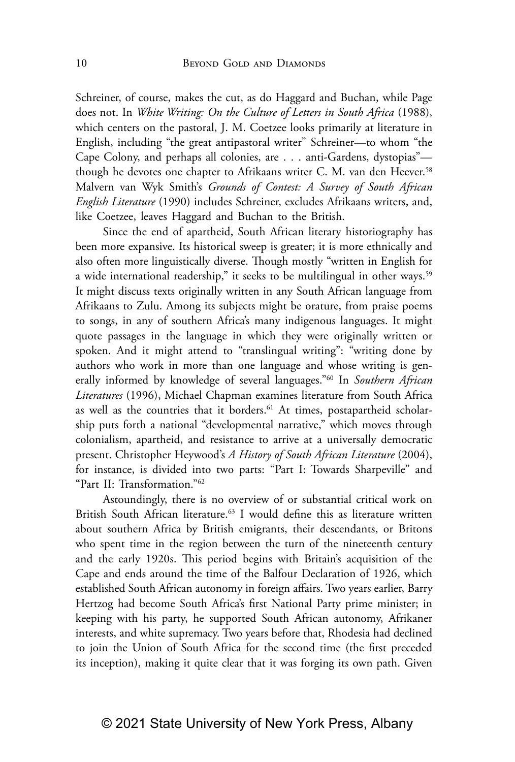Schreiner, of course, makes the cut, as do Haggard and Buchan, while Page does not. In *White Writing: On the Culture of Letters in South Africa* (1988), which centers on the pastoral, J. M. Coetzee looks primarily at literature in English, including "the great antipastoral writer" Schreiner—to whom "the Cape Colony, and perhaps all colonies, are . . . anti-Gardens, dystopias" though he devotes one chapter to Afrikaans writer C. M. van den Heever.<sup>58</sup> Malvern van Wyk Smith's *Grounds of Contest: A Survey of South African English Literature* (1990) includes Schreiner, excludes Afrikaans writers, and, like Coetzee, leaves Haggard and Buchan to the British.

Since the end of apartheid, South African literary historiography has been more expansive. Its historical sweep is greater; it is more ethnically and also often more linguistically diverse. Though mostly "written in English for a wide international readership," it seeks to be multilingual in other ways.<sup>59</sup> It might discuss texts originally written in any South African language from Afrikaans to Zulu. Among its subjects might be orature, from praise poems to songs, in any of southern Africa's many indigenous languages. It might quote passages in the language in which they were originally written or spoken. And it might attend to "translingual writing": "writing done by authors who work in more than one language and whose writing is generally informed by knowledge of several languages."60 In *Southern African Literatures* (1996), Michael Chapman examines literature from South Africa as well as the countries that it borders.<sup>61</sup> At times, postapartheid scholarship puts forth a national "developmental narrative," which moves through colonialism, apartheid, and resistance to arrive at a universally democratic present. Christopher Heywood's *A History of South African Literature* (2004), for instance, is divided into two parts: "Part I: Towards Sharpeville" and "Part II: Transformation."62

Astoundingly, there is no overview of or substantial critical work on British South African literature.<sup>63</sup> I would define this as literature written about southern Africa by British emigrants, their descendants, or Britons who spent time in the region between the turn of the nineteenth century and the early 1920s. This period begins with Britain's acquisition of the Cape and ends around the time of the Balfour Declaration of 1926, which established South African autonomy in foreign affairs. Two years earlier, Barry Hertzog had become South Africa's first National Party prime minister; in keeping with his party, he supported South African autonomy, Afrikaner interests, and white supremacy. Two years before that, Rhodesia had declined to join the Union of South Africa for the second time (the first preceded its inception), making it quite clear that it was forging its own path. Given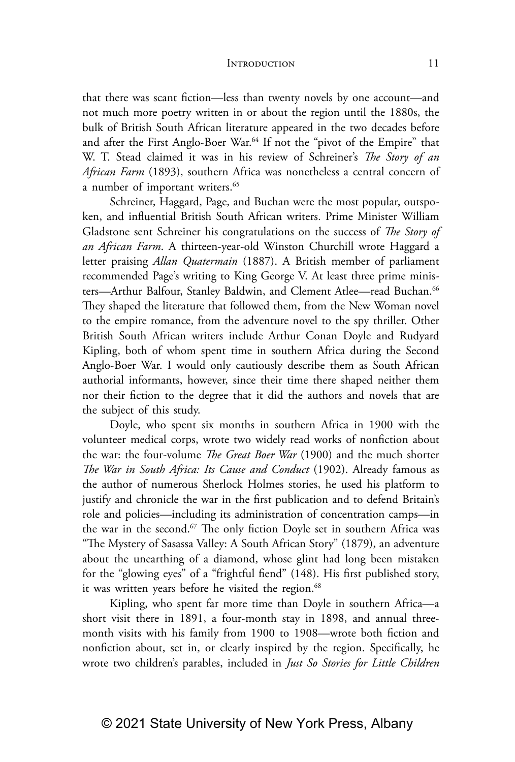that there was scant fiction—less than twenty novels by one account—and not much more poetry written in or about the region until the 1880s, the bulk of British South African literature appeared in the two decades before and after the First Anglo-Boer War.<sup>64</sup> If not the "pivot of the Empire" that W. T. Stead claimed it was in his review of Schreiner's *The Story of an African Farm* (1893), southern Africa was nonetheless a central concern of a number of important writers.<sup>65</sup>

Schreiner, Haggard, Page, and Buchan were the most popular, outspoken, and influential British South African writers. Prime Minister William Gladstone sent Schreiner his congratulations on the success of *The Story of an African Farm*. A thirteen-year-old Winston Churchill wrote Haggard a letter praising *Allan Quatermain* (1887). A British member of parliament recommended Page's writing to King George V. At least three prime ministers-Arthur Balfour, Stanley Baldwin, and Clement Atlee-read Buchan.<sup>66</sup> They shaped the literature that followed them, from the New Woman novel to the empire romance, from the adventure novel to the spy thriller. Other British South African writers include Arthur Conan Doyle and Rudyard Kipling, both of whom spent time in southern Africa during the Second Anglo-Boer War. I would only cautiously describe them as South African authorial informants, however, since their time there shaped neither them nor their fiction to the degree that it did the authors and novels that are the subject of this study.

Doyle, who spent six months in southern Africa in 1900 with the volunteer medical corps, wrote two widely read works of nonfiction about the war: the four-volume *The Great Boer War* (1900) and the much shorter *The War in South Africa: Its Cause and Conduct* (1902). Already famous as the author of numerous Sherlock Holmes stories, he used his platform to justify and chronicle the war in the first publication and to defend Britain's role and policies—including its administration of concentration camps—in the war in the second.<sup>67</sup> The only fiction Doyle set in southern Africa was "The Mystery of Sasassa Valley: A South African Story" (1879), an adventure about the unearthing of a diamond, whose glint had long been mistaken for the "glowing eyes" of a "frightful fiend" (148). His first published story, it was written years before he visited the region.<sup>68</sup>

Kipling, who spent far more time than Doyle in southern Africa—a short visit there in 1891, a four-month stay in 1898, and annual threemonth visits with his family from 1900 to 1908—wrote both fiction and nonfiction about, set in, or clearly inspired by the region. Specifically, he wrote two children's parables, included in *Just So Stories for Little Children*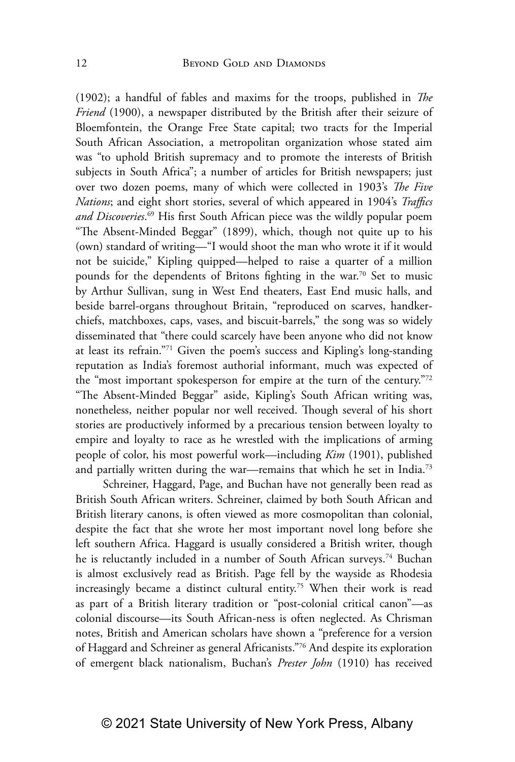(1902); a handful of fables and maxims for the troops, published in *The Friend* (1900), a newspaper distributed by the British after their seizure of Bloemfontein, the Orange Free State capital; two tracts for the Imperial South African Association, a metropolitan organization whose stated aim was "to uphold British supremacy and to promote the interests of British subjects in South Africa"; a number of articles for British newspapers; just over two dozen poems, many of which were collected in 1903's *The Five Nations*; and eight short stories, several of which appeared in 1904's *Traffics and Discoveries*. 69 His first South African piece was the wildly popular poem "The Absent-Minded Beggar" (1899), which, though not quite up to his (own) standard of writing—"I would shoot the man who wrote it if it would not be suicide," Kipling quipped—helped to raise a quarter of a million pounds for the dependents of Britons fighting in the war.<sup>70</sup> Set to music by Arthur Sullivan, sung in West End theaters, East End music halls, and beside barrel-organs throughout Britain, "reproduced on scarves, handkerchiefs, matchboxes, caps, vases, and biscuit-barrels," the song was so widely disseminated that "there could scarcely have been anyone who did not know at least its refrain."71 Given the poem's success and Kipling's long-standing reputation as India's foremost authorial informant, much was expected of the "most important spokesperson for empire at the turn of the century."72 "The Absent-Minded Beggar" aside, Kipling's South African writing was, nonetheless, neither popular nor well received. Though several of his short stories are productively informed by a precarious tension between loyalty to empire and loyalty to race as he wrestled with the implications of arming people of color, his most powerful work—including *Kim* (1901), published and partially written during the war—remains that which he set in India.<sup>73</sup>

Schreiner, Haggard, Page, and Buchan have not generally been read as British South African writers. Schreiner, claimed by both South African and British literary canons, is often viewed as more cosmopolitan than colonial, despite the fact that she wrote her most important novel long before she left southern Africa. Haggard is usually considered a British writer, though he is reluctantly included in a number of South African surveys.<sup>74</sup> Buchan is almost exclusively read as British. Page fell by the wayside as Rhodesia increasingly became a distinct cultural entity.75 When their work is read as part of a British literary tradition or "post-colonial critical canon"—as colonial discourse—its South African-ness is often neglected. As Chrisman notes, British and American scholars have shown a "preference for a version of Haggard and Schreiner as general Africanists."76 And despite its exploration of emergent black nationalism, Buchan's *Prester John* (1910) has received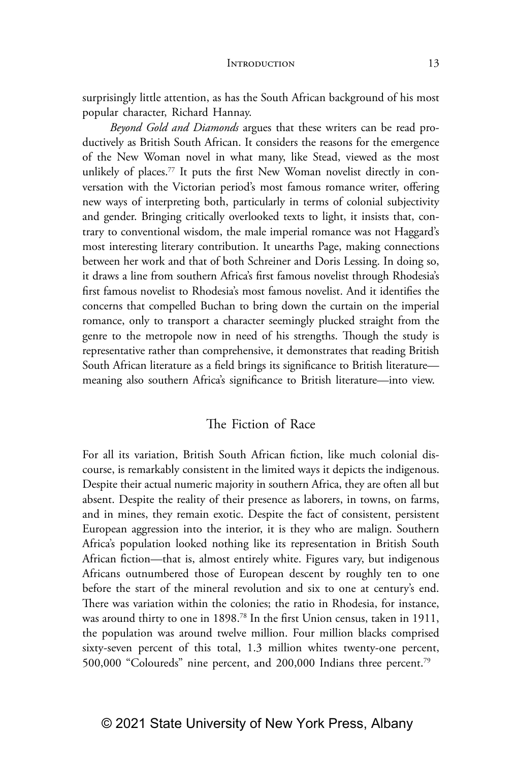surprisingly little attention, as has the South African background of his most popular character, Richard Hannay.

*Beyond Gold and Diamonds* argues that these writers can be read productively as British South African. It considers the reasons for the emergence of the New Woman novel in what many, like Stead, viewed as the most unlikely of places.<sup>77</sup> It puts the first New Woman novelist directly in conversation with the Victorian period's most famous romance writer, offering new ways of interpreting both, particularly in terms of colonial subjectivity and gender. Bringing critically overlooked texts to light, it insists that, contrary to conventional wisdom, the male imperial romance was not Haggard's most interesting literary contribution. It unearths Page, making connections between her work and that of both Schreiner and Doris Lessing. In doing so, it draws a line from southern Africa's first famous novelist through Rhodesia's first famous novelist to Rhodesia's most famous novelist. And it identifies the concerns that compelled Buchan to bring down the curtain on the imperial romance, only to transport a character seemingly plucked straight from the genre to the metropole now in need of his strengths. Though the study is representative rather than comprehensive, it demonstrates that reading British South African literature as a field brings its significance to British literature meaning also southern Africa's significance to British literature—into view.

### The Fiction of Race

For all its variation, British South African fiction, like much colonial discourse, is remarkably consistent in the limited ways it depicts the indigenous. Despite their actual numeric majority in southern Africa, they are often all but absent. Despite the reality of their presence as laborers, in towns, on farms, and in mines, they remain exotic. Despite the fact of consistent, persistent European aggression into the interior, it is they who are malign. Southern Africa's population looked nothing like its representation in British South African fiction—that is, almost entirely white. Figures vary, but indigenous Africans outnumbered those of European descent by roughly ten to one before the start of the mineral revolution and six to one at century's end. There was variation within the colonies; the ratio in Rhodesia, for instance, was around thirty to one in 1898.<sup>78</sup> In the first Union census, taken in 1911, the population was around twelve million. Four million blacks comprised sixty-seven percent of this total, 1.3 million whites twenty-one percent, 500,000 "Coloureds" nine percent, and 200,000 Indians three percent.79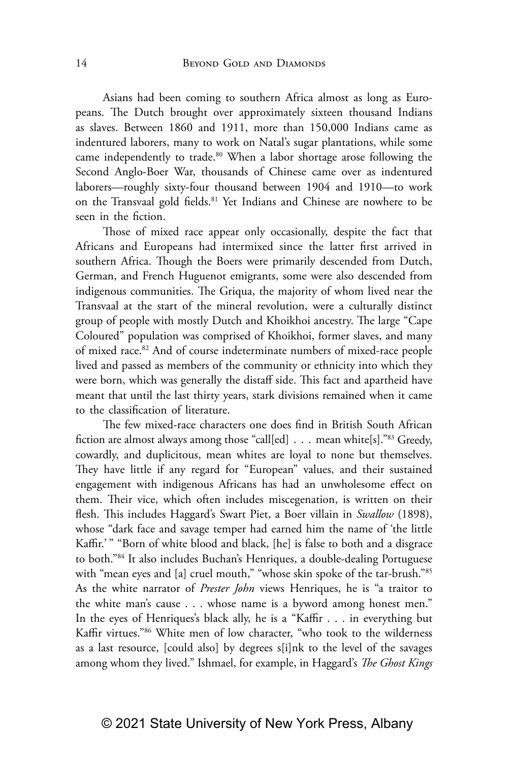Asians had been coming to southern Africa almost as long as Europeans. The Dutch brought over approximately sixteen thousand Indians as slaves. Between 1860 and 1911, more than 150,000 Indians came as indentured laborers, many to work on Natal's sugar plantations, while some came independently to trade.<sup>80</sup> When a labor shortage arose following the Second Anglo-Boer War, thousands of Chinese came over as indentured laborers—roughly sixty-four thousand between 1904 and 1910—to work on the Transvaal gold fields.<sup>81</sup> Yet Indians and Chinese are nowhere to be seen in the fiction.

Those of mixed race appear only occasionally, despite the fact that Africans and Europeans had intermixed since the latter first arrived in southern Africa. Though the Boers were primarily descended from Dutch, German, and French Huguenot emigrants, some were also descended from indigenous communities. The Griqua, the majority of whom lived near the Transvaal at the start of the mineral revolution, were a culturally distinct group of people with mostly Dutch and Khoikhoi ancestry. The large "Cape Coloured" population was comprised of Khoikhoi, former slaves, and many of mixed race.82 And of course indeterminate numbers of mixed-race people lived and passed as members of the community or ethnicity into which they were born, which was generally the distaff side. This fact and apartheid have meant that until the last thirty years, stark divisions remained when it came to the classification of literature.

The few mixed-race characters one does find in British South African fiction are almost always among those "call[ed] . . . mean white[s]."83 Greedy, cowardly, and duplicitous, mean whites are loyal to none but themselves. They have little if any regard for "European" values, and their sustained engagement with indigenous Africans has had an unwholesome effect on them. Their vice, which often includes miscegenation, is written on their flesh. This includes Haggard's Swart Piet, a Boer villain in *Swallow* (1898), whose "dark face and savage temper had earned him the name of 'the little Kaffir.' " "Born of white blood and black, [he] is false to both and a disgrace to both."84 It also includes Buchan's Henriques, a double-dealing Portuguese with "mean eyes and [a] cruel mouth," "whose skin spoke of the tar-brush."<sup>85</sup> As the white narrator of *Prester John* views Henriques, he is "a traitor to the white man's cause . . . whose name is a byword among honest men." In the eyes of Henriques's black ally, he is a "Kaffir . . . in everything but Kaffir virtues."86 White men of low character, "who took to the wilderness as a last resource, [could also] by degrees s[i]nk to the level of the savages among whom they lived." Ishmael, for example, in Haggard's *The Ghost Kings*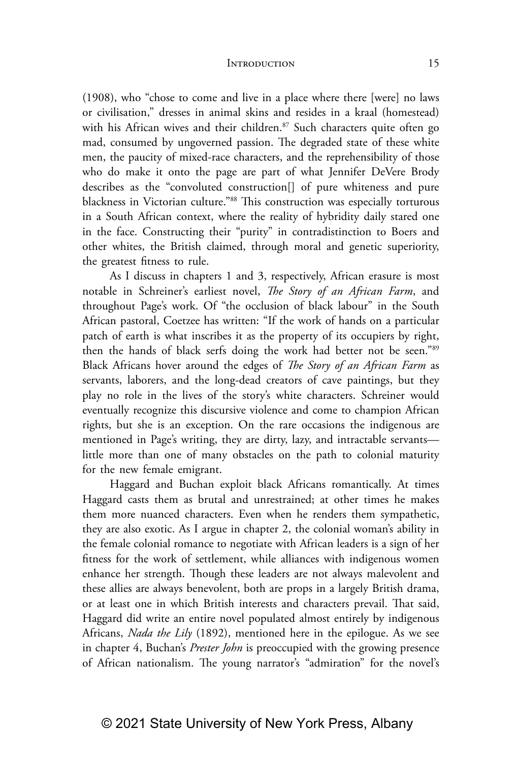(1908), who "chose to come and live in a place where there [were] no laws or civilisation," dresses in animal skins and resides in a kraal (homestead) with his African wives and their children. $87$  Such characters quite often go mad, consumed by ungoverned passion. The degraded state of these white men, the paucity of mixed-race characters, and the reprehensibility of those who do make it onto the page are part of what Jennifer DeVere Brody describes as the "convoluted construction[] of pure whiteness and pure blackness in Victorian culture."88 This construction was especially torturous in a South African context, where the reality of hybridity daily stared one in the face. Constructing their "purity" in contradistinction to Boers and other whites, the British claimed, through moral and genetic superiority, the greatest fitness to rule.

As I discuss in chapters 1 and 3, respectively, African erasure is most notable in Schreiner's earliest novel, *The Story of an African Farm*, and throughout Page's work. Of "the occlusion of black labour" in the South African pastoral, Coetzee has written: "If the work of hands on a particular patch of earth is what inscribes it as the property of its occupiers by right, then the hands of black serfs doing the work had better not be seen."89 Black Africans hover around the edges of *The Story of an African Farm* as servants, laborers, and the long-dead creators of cave paintings, but they play no role in the lives of the story's white characters. Schreiner would eventually recognize this discursive violence and come to champion African rights, but she is an exception. On the rare occasions the indigenous are mentioned in Page's writing, they are dirty, lazy, and intractable servants little more than one of many obstacles on the path to colonial maturity for the new female emigrant.

Haggard and Buchan exploit black Africans romantically. At times Haggard casts them as brutal and unrestrained; at other times he makes them more nuanced characters. Even when he renders them sympathetic, they are also exotic. As I argue in chapter 2, the colonial woman's ability in the female colonial romance to negotiate with African leaders is a sign of her fitness for the work of settlement, while alliances with indigenous women enhance her strength. Though these leaders are not always malevolent and these allies are always benevolent, both are props in a largely British drama, or at least one in which British interests and characters prevail. That said, Haggard did write an entire novel populated almost entirely by indigenous Africans, *Nada the Lily* (1892), mentioned here in the epilogue. As we see in chapter 4, Buchan's *Prester John* is preoccupied with the growing presence of African nationalism. The young narrator's "admiration" for the novel's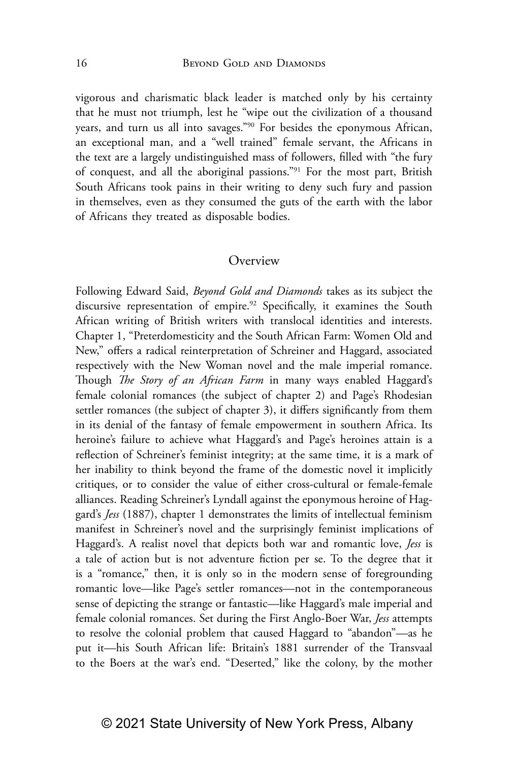vigorous and charismatic black leader is matched only by his certainty that he must not triumph, lest he "wipe out the civilization of a thousand years, and turn us all into savages."90 For besides the eponymous African, an exceptional man, and a "well trained" female servant, the Africans in the text are a largely undistinguished mass of followers, filled with "the fury of conquest, and all the aboriginal passions."91 For the most part, British South Africans took pains in their writing to deny such fury and passion in themselves, even as they consumed the guts of the earth with the labor of Africans they treated as disposable bodies.

#### **Overview**

Following Edward Said, *Beyond Gold and Diamonds* takes as its subject the discursive representation of empire.<sup>92</sup> Specifically, it examines the South African writing of British writers with translocal identities and interests. Chapter 1, "Preterdomesticity and the South African Farm: Women Old and New," offers a radical reinterpretation of Schreiner and Haggard, associated respectively with the New Woman novel and the male imperial romance. Though *The Story of an African Farm* in many ways enabled Haggard's female colonial romances (the subject of chapter 2) and Page's Rhodesian settler romances (the subject of chapter 3), it differs significantly from them in its denial of the fantasy of female empowerment in southern Africa. Its heroine's failure to achieve what Haggard's and Page's heroines attain is a reflection of Schreiner's feminist integrity; at the same time, it is a mark of her inability to think beyond the frame of the domestic novel it implicitly critiques, or to consider the value of either cross-cultural or female-female alliances. Reading Schreiner's Lyndall against the eponymous heroine of Haggard's *Jess* (1887), chapter 1 demonstrates the limits of intellectual feminism manifest in Schreiner's novel and the surprisingly feminist implications of Haggard's. A realist novel that depicts both war and romantic love, *Jess* is a tale of action but is not adventure fiction per se. To the degree that it is a "romance," then, it is only so in the modern sense of foregrounding romantic love—like Page's settler romances—not in the contemporaneous sense of depicting the strange or fantastic—like Haggard's male imperial and female colonial romances. Set during the First Anglo-Boer War, *Jess* attempts to resolve the colonial problem that caused Haggard to "abandon"—as he put it—his South African life: Britain's 1881 surrender of the Transvaal to the Boers at the war's end. "Deserted," like the colony, by the mother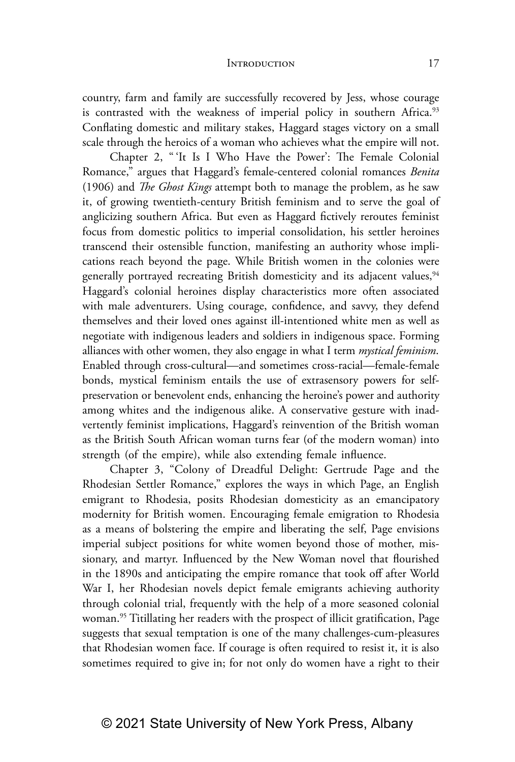country, farm and family are successfully recovered by Jess, whose courage is contrasted with the weakness of imperial policy in southern Africa.<sup>93</sup> Conflating domestic and military stakes, Haggard stages victory on a small scale through the heroics of a woman who achieves what the empire will not.

Chapter 2, " 'It Is I Who Have the Power': The Female Colonial Romance," argues that Haggard's female-centered colonial romances *Benita* (1906) and *The Ghost Kings* attempt both to manage the problem, as he saw it, of growing twentieth-century British feminism and to serve the goal of anglicizing southern Africa. But even as Haggard fictively reroutes feminist focus from domestic politics to imperial consolidation, his settler heroines transcend their ostensible function, manifesting an authority whose implications reach beyond the page. While British women in the colonies were generally portrayed recreating British domesticity and its adjacent values,<sup>94</sup> Haggard's colonial heroines display characteristics more often associated with male adventurers. Using courage, confidence, and savvy, they defend themselves and their loved ones against ill-intentioned white men as well as negotiate with indigenous leaders and soldiers in indigenous space. Forming alliances with other women, they also engage in what I term *mystical feminism*. Enabled through cross-cultural—and sometimes cross-racial—female-female bonds, mystical feminism entails the use of extrasensory powers for selfpreservation or benevolent ends, enhancing the heroine's power and authority among whites and the indigenous alike. A conservative gesture with inadvertently feminist implications, Haggard's reinvention of the British woman as the British South African woman turns fear (of the modern woman) into strength (of the empire), while also extending female influence.

Chapter 3, "Colony of Dreadful Delight: Gertrude Page and the Rhodesian Settler Romance," explores the ways in which Page, an English emigrant to Rhodesia, posits Rhodesian domesticity as an emancipatory modernity for British women. Encouraging female emigration to Rhodesia as a means of bolstering the empire and liberating the self, Page envisions imperial subject positions for white women beyond those of mother, missionary, and martyr. Influenced by the New Woman novel that flourished in the 1890s and anticipating the empire romance that took off after World War I, her Rhodesian novels depict female emigrants achieving authority through colonial trial, frequently with the help of a more seasoned colonial woman.<sup>95</sup> Titillating her readers with the prospect of illicit gratification, Page suggests that sexual temptation is one of the many challenges-cum-pleasures that Rhodesian women face. If courage is often required to resist it, it is also sometimes required to give in; for not only do women have a right to their